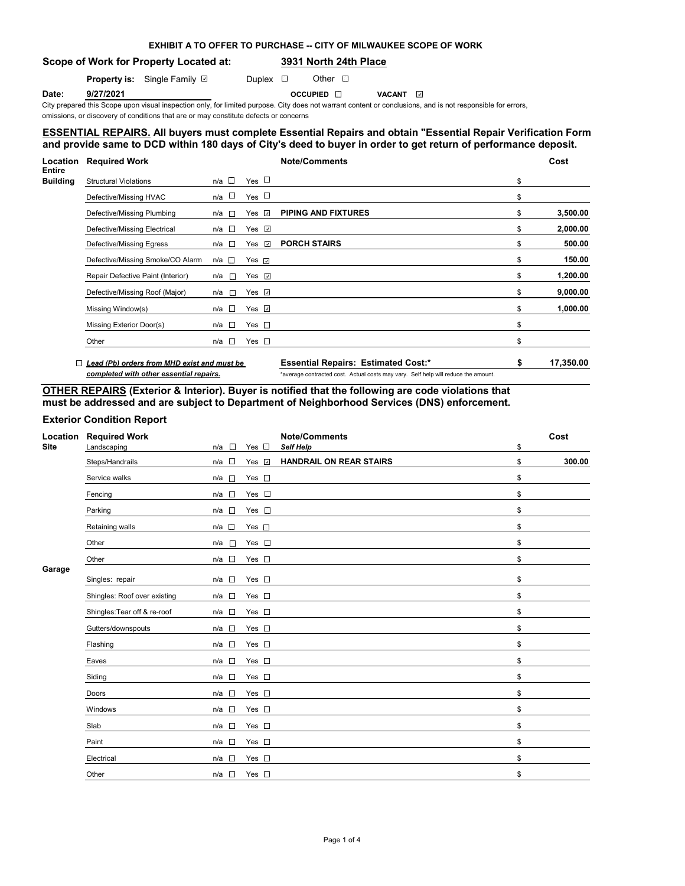# **EXHIBIT A TO OFFER TO PURCHASE -- CITY OF MILWAUKEE SCOPE OF WORK**

## **Scope of Work for Property Located at: 3931 North 24th Place**

**Property is:** Single Family **D** Duplex **D** Other **D** 

**Date: 9/27/2021 Date: 9/27/2021 Date:** OCCUPIED ⊡ VACANT

City prepared this Scope upon visual inspection only, for limited purpose. City does not warrant content or conclusions, and is not responsible for errors,

omissions, or discovery of conditions that are or may constitute defects or concerns

## **ESSENTIAL REPAIRS. All buyers must complete Essential Repairs and obtain "Essential Repair Verification Form" and provide same to DCD within 180 days of City's deed to buyer in order to get return of performance deposit.**

| <b>Location</b>                  | <b>Required Work</b>                        |                       |                    | <b>Note/Comments</b>                       |    | Cost      |
|----------------------------------|---------------------------------------------|-----------------------|--------------------|--------------------------------------------|----|-----------|
| <b>Entire</b><br><b>Building</b> | <b>Structural Violations</b>                | n/a $\square$         | Yes $\Box$         |                                            | \$ |           |
|                                  | Defective/Missing HVAC                      | n/a □                 | Yes $\Box$         |                                            | \$ |           |
|                                  | Defective/Missing Plumbing                  | n/a<br><b>ITT</b>     | Yes $\sqrt{ }$     | <b>PIPING AND FIXTURES</b>                 | \$ | 3,500.00  |
|                                  | Defective/Missing Electrical                | n/a $\square$         | Yes $\sqrt{ }$     |                                            | \$ | 2,000.00  |
|                                  | Defective/Missing Egress                    | n/a □                 | Yes $\sqrt{2}$     | <b>PORCH STAIRS</b>                        | \$ | 500.00    |
|                                  | Defective/Missing Smoke/CO Alarm            | n/a □                 | Yes $\overline{v}$ |                                            | \$ | 150.00    |
|                                  | Repair Defective Paint (Interior)           | n/a<br>$\mathcal{L}$  | Yes $\overline{v}$ |                                            | \$ | 1,200.00  |
|                                  | Defective/Missing Roof (Major)              | n/a<br>$\overline{a}$ | Yes $\Box$         |                                            | \$ | 9,000.00  |
|                                  | Missing Window(s)                           | n/a □                 | Yes $\Box$         |                                            | \$ | 1,000.00  |
|                                  | Missing Exterior Door(s)                    | n/a □                 | Yes $\square$      |                                            | \$ |           |
|                                  | Other                                       | n/a □                 | Yes $\square$      |                                            | \$ |           |
|                                  | Lead (Pb) orders from MHD exist and must be |                       |                    | <b>Essential Repairs: Estimated Cost:*</b> | S  | 17,350.00 |

*completed with other essential repairs.* \*average contracted cost. Actual costs may vary. Self help will reduce the amount.

# **OTHER REPAIRS (Exterior & Interior). Buyer is notified that the following are code violations that must be addressed and are subject to Department of Neighborhood Services (DNS) enforcement.**

## **Exterior Condition Report**

| Location<br><b>Site</b> | <b>Required Work</b><br>Landscaping | $\Box$<br>n/a   | Yes $\square$ | <b>Note/Comments</b><br><b>Self Help</b> | \$<br>Cost   |
|-------------------------|-------------------------------------|-----------------|---------------|------------------------------------------|--------------|
|                         | Steps/Handrails                     | $\Box$<br>n/a   | Yes v         | <b>HANDRAIL ON REAR STAIRS</b>           | \$<br>300.00 |
|                         | Service walks                       | n/a<br>$\Box$   | Yes $\square$ |                                          | \$           |
|                         | Fencing                             | $n/a$ $\square$ | Yes $\square$ |                                          | \$           |
|                         | Parking                             | $n/a$ $\square$ | Yes $\square$ |                                          | \$           |
|                         | Retaining walls                     | $n/a$ $\square$ | Yes $\square$ |                                          | \$           |
|                         | Other                               | n/a<br>$\sim$   | Yes $\square$ |                                          | \$           |
|                         | Other                               | $n/a$ $\square$ | Yes $\square$ |                                          | \$           |
| Garage                  | Singles: repair                     | n/a<br>$\sim$   | Yes $\square$ |                                          | \$           |
|                         | Shingles: Roof over existing        | $\Box$<br>n/a   | Yes $\square$ |                                          | \$           |
|                         | Shingles: Tear off & re-roof        | $n/a$ $\square$ | Yes $\square$ |                                          | \$           |
|                         | Gutters/downspouts                  | $n/a$ $\square$ | Yes $\square$ |                                          | \$           |
|                         | Flashing                            | $n/a$ $\square$ | Yes $\square$ |                                          | \$           |
|                         | Eaves                               | n/a<br>1.63     | Yes $\square$ |                                          | \$           |
|                         | Siding                              | n/a             | Yes $\square$ |                                          | \$           |
|                         | Doors                               | n/a<br>$\Box$   | Yes $\square$ |                                          | \$           |
|                         | Windows                             | $\sim$<br>n/a   | Yes $\square$ |                                          | \$           |
|                         | Slab                                | n/a             | Yes $\square$ |                                          | \$           |
|                         | Paint                               | $\sim$<br>n/a   | Yes $\square$ |                                          | \$           |
|                         | Electrical                          | n/a             | Yes $\square$ |                                          | \$           |
|                         | Other                               | n/a □           | Yes $\square$ |                                          | \$           |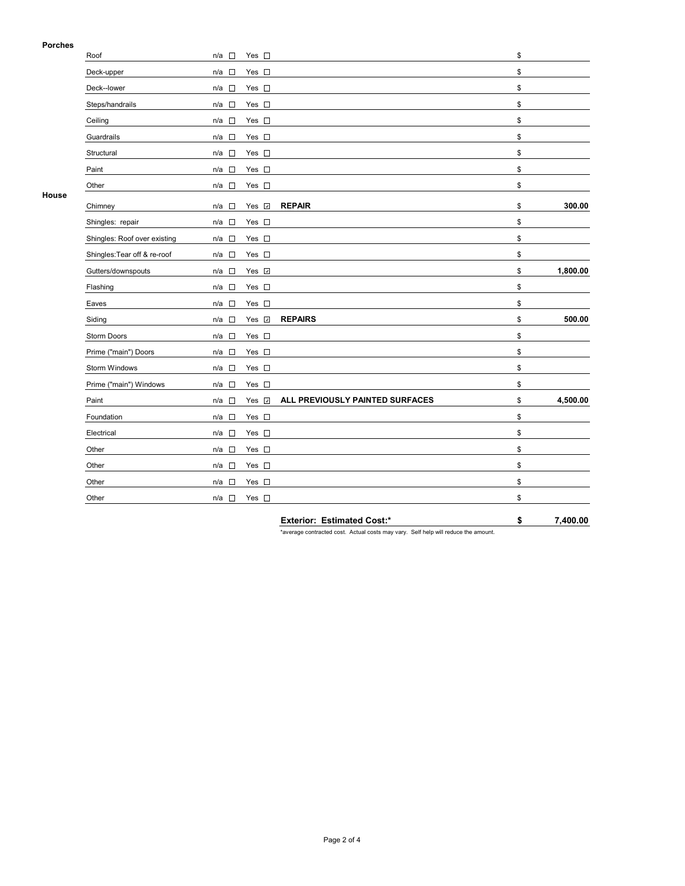### **Porches**

| ניטוטוס | Roof                         | n/a □                           | Yes $\square$ |                                 | \$             |
|---------|------------------------------|---------------------------------|---------------|---------------------------------|----------------|
|         | Deck-upper                   | n/a<br>$\sim$                   | Yes $\square$ |                                 | \$             |
|         | Deck--lower                  | П<br>n/a                        | Yes $\square$ |                                 | \$             |
|         | Steps/handrails              | n/a<br>$\Box$                   | Yes $\square$ |                                 | \$             |
|         | Ceiling                      | $\Box$<br>n/a                   | Yes $\square$ |                                 | \$             |
|         | Guardrails                   | $n/a$ $\square$                 | Yes $\square$ |                                 | \$             |
|         | Structural                   | $\Box$<br>n/a                   | Yes $\square$ |                                 | \$             |
|         | Paint                        | n/a<br>$\sim$                   | Yes $\square$ |                                 | \$             |
|         | Other                        | $n/a$ $\square$                 | Yes $\square$ |                                 | \$             |
| House   | Chimney                      | П<br>n/a                        | Yes <b>☑</b>  | <b>REPAIR</b>                   | \$<br>300.00   |
|         | Shingles: repair             | n/a<br>$\sim$                   | Yes $\square$ |                                 | \$             |
|         | Shingles: Roof over existing | $n/a$ $\square$                 | Yes $\square$ |                                 | \$             |
|         | Shingles: Tear off & re-roof | n/a □                           | Yes $\square$ |                                 | \$             |
|         | Gutters/downspouts           | n/a<br>$\Box$                   | Yes <b>⊽</b>  |                                 | \$<br>1,800.00 |
|         | Flashing                     | П<br>n/a                        | Yes $\square$ |                                 | \$             |
|         | Eaves                        | $\Box$<br>n/a                   | Yes $\square$ |                                 | \$             |
|         | Siding                       | $\Box$<br>n/a                   | Yes v         | <b>REPAIRS</b>                  | \$<br>500.00   |
|         | Storm Doors                  | $n/a$ $\square$                 | Yes $\square$ |                                 | \$             |
|         | Prime ("main") Doors         | n/a<br>$\sim$                   | Yes $\square$ |                                 | \$             |
|         | Storm Windows                | n/a<br>$\sim$                   | Yes $\square$ |                                 | \$             |
|         | Prime ("main") Windows       | n/a<br>$\Box$                   | Yes $\square$ |                                 | \$             |
|         | Paint                        | $n/a$ $\square$                 | Yes <b>⊽</b>  | ALL PREVIOUSLY PAINTED SURFACES | \$<br>4,500.00 |
|         | Foundation                   | n/a $\square$                   | Yes $\square$ |                                 | \$             |
|         | Electrical                   | $\Box$<br>n/a                   | Yes $\square$ |                                 | \$             |
|         | Other                        | $\Box$<br>n/a                   | Yes $\square$ |                                 | \$             |
|         | Other                        | n/a<br>$\overline{\phantom{a}}$ | Yes $\square$ |                                 | \$             |
|         | Other                        | $\Box$<br>n/a                   | Yes $\square$ |                                 | \$             |
|         | Other                        | $n/a$ $\square$                 | Yes $\square$ |                                 | \$             |
|         |                              |                                 |               |                                 |                |

**Exterior: Estimated Cost:\* \$ 7,400.00**

\*average contracted cost. Actual costs may vary. Self help will reduce the amount.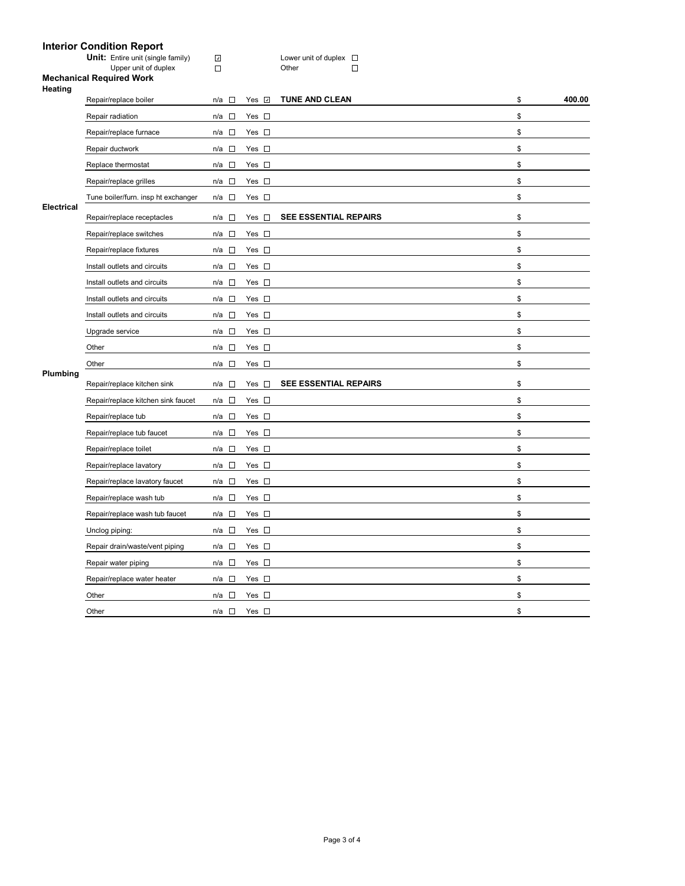#### **Interior Condition Report**

**Unit:** Entire unit (single family)  $\Box$  **Lower unit of duplex** 

Upper unit of duplex Domeston Communication Communication Communication Communication Communication Communication Communication Communication Communication Communication Communication Communication Communication Communicat

**Mechanical Required Work Heating** 

| .          | Repair/replace boiler               | $n/a$ $\square$                 | Yes <b>⊽</b>  | <b>TUNE AND CLEAN</b>        | \$<br>400.00 |
|------------|-------------------------------------|---------------------------------|---------------|------------------------------|--------------|
|            | Repair radiation                    | n/a<br>$\overline{\phantom{a}}$ | Yes $\square$ |                              | \$           |
|            | Repair/replace furnace              | n/a<br>$\sim$                   | Yes $\square$ |                              | \$           |
|            | Repair ductwork                     | $n/a$ $\square$                 | Yes $\square$ |                              | \$           |
|            | Replace thermostat                  | $\Box$<br>n/a                   | Yes $\square$ |                              | \$           |
|            | Repair/replace grilles              | n/a □                           | Yes $\square$ |                              | \$           |
|            | Tune boiler/furn. insp ht exchanger | n/a □                           | Yes $\square$ |                              | \$           |
| Electrical | Repair/replace receptacles          | n/a<br>$\sim$                   | Yes $\square$ | <b>SEE ESSENTIAL REPAIRS</b> | \$           |
|            | Repair/replace switches             | n/a □                           | Yes $\square$ |                              | \$           |
|            | Repair/replace fixtures             | $\sim$<br>n/a                   | Yes $\square$ |                              | \$           |
|            | Install outlets and circuits        | $n/a$ $\square$                 | Yes $\square$ |                              | \$           |
|            | Install outlets and circuits        | n/a □                           | Yes $\square$ |                              | \$           |
|            | Install outlets and circuits        | $\Box$<br>n/a                   | Yes $\square$ |                              | \$           |
|            | Install outlets and circuits        | n/a<br>$\Box$                   | Yes $\square$ |                              | \$           |
|            | Upgrade service                     | n/a<br>$\sim$                   | Yes $\square$ |                              | \$           |
|            | Other                               | n/a □                           | Yes $\square$ |                              | \$           |
|            | Other                               | $\sim$<br>n/a                   | Yes $\square$ |                              | \$           |
| Plumbing   | Repair/replace kitchen sink         | n/a<br>$\Box$                   | Yes $\square$ | <b>SEE ESSENTIAL REPAIRS</b> | \$           |
|            | Repair/replace kitchen sink faucet  | n/a □                           | Yes $\square$ |                              | \$           |
|            | Repair/replace tub                  | $n/a$ $\square$                 | Yes $\square$ |                              | \$           |
|            | Repair/replace tub faucet           | n/a $\square$                   | Yes $\square$ |                              | \$           |
|            | Repair/replace toilet               | n/a $\square$                   | Yes $\square$ |                              | \$           |
|            | Repair/replace lavatory             | $n/a$ $\square$                 | Yes $\square$ |                              | \$           |
|            | Repair/replace lavatory faucet      | $n/a$ $\square$                 | Yes $\square$ |                              | \$           |
|            | Repair/replace wash tub             | n/a<br>$\sim$                   | Yes $\square$ |                              | \$           |
|            | Repair/replace wash tub faucet      | $n/a$ $\square$                 | Yes $\square$ |                              | \$           |
|            | Unclog piping:                      | n/a $\square$                   | Yes $\square$ |                              | \$           |
|            | Repair drain/waste/vent piping      | $\sim$<br>n/a                   | Yes $\square$ |                              | \$           |
|            | Repair water piping                 | n/a □                           | Yes $\square$ |                              | \$           |
|            | Repair/replace water heater         | $n/a$ $\square$                 | Yes $\square$ |                              | \$           |
|            | Other                               | n/a<br>$\sim$                   | Yes $\square$ |                              | \$           |
|            | Other                               | n/a $\square$                   | Yes $\square$ |                              | \$           |
|            |                                     |                                 |               |                              |              |